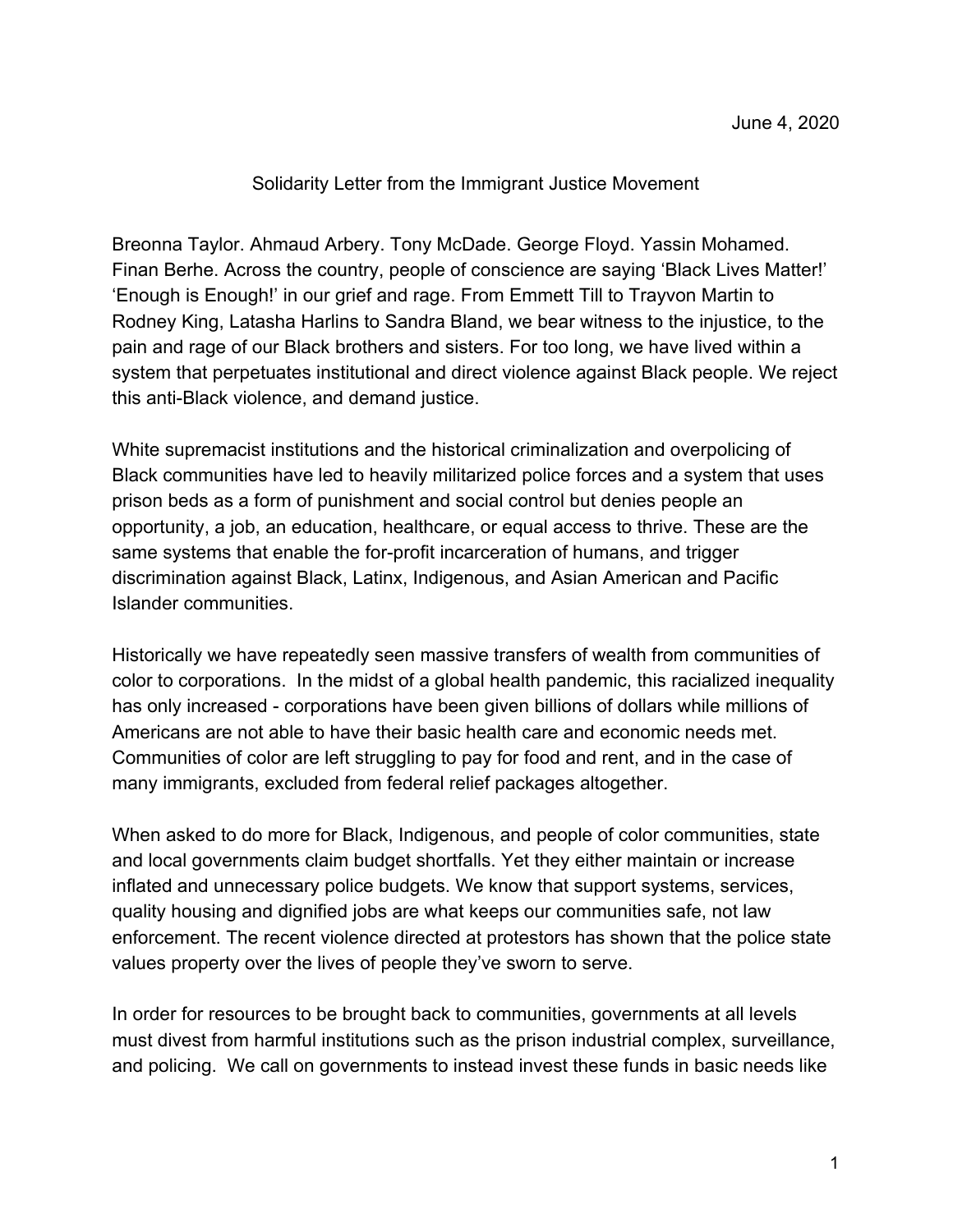## Solidarity Letter from the Immigrant Justice Movement

Breonna Taylor. Ahmaud Arbery. Tony McDade. George Floyd. Yassin Mohamed. Finan Berhe. Across the country, people of conscience are saying 'Black Lives Matter!' 'Enough is Enough!' in our grief and rage. From Emmett Till to Trayvon Martin to Rodney King, Latasha Harlins to Sandra Bland, we bear witness to the injustice, to the pain and rage of our Black brothers and sisters. For too long, we have lived within a system that perpetuates institutional and direct violence against Black people. We reject this anti-Black violence, and demand justice.

White supremacist institutions and the historical criminalization and overpolicing of Black communities have led to heavily militarized police forces and a system that uses prison beds as a form of punishment and social control but denies people an opportunity, a job, an education, healthcare, or equal access to thrive. These are the same systems that enable the for-profit incarceration of humans, and trigger discrimination against Black, Latinx, Indigenous, and Asian American and Pacific Islander communities.

Historically we have repeatedly seen massive transfers of wealth from communities of color to corporations. In the midst of a global health pandemic, this racialized inequality has only increased - corporations have been given billions of dollars while millions of Americans are not able to have their basic health care and economic needs met. Communities of color are left struggling to pay for food and rent, and in the case of many immigrants, excluded from federal relief packages altogether.

When asked to do more for Black, Indigenous, and people of color communities, state and local governments claim budget shortfalls. Yet they either maintain or increase inflated and unnecessary police budgets. We know that support systems, services, quality housing and dignified jobs are what keeps our communities safe, not law enforcement. The recent violence directed at protestors has shown that the police state values property over the lives of people they've sworn to serve.

In order for resources to be brought back to communities, governments at all levels must divest from harmful institutions such as the prison industrial complex, surveillance, and policing. We call on governments to instead invest these funds in basic needs like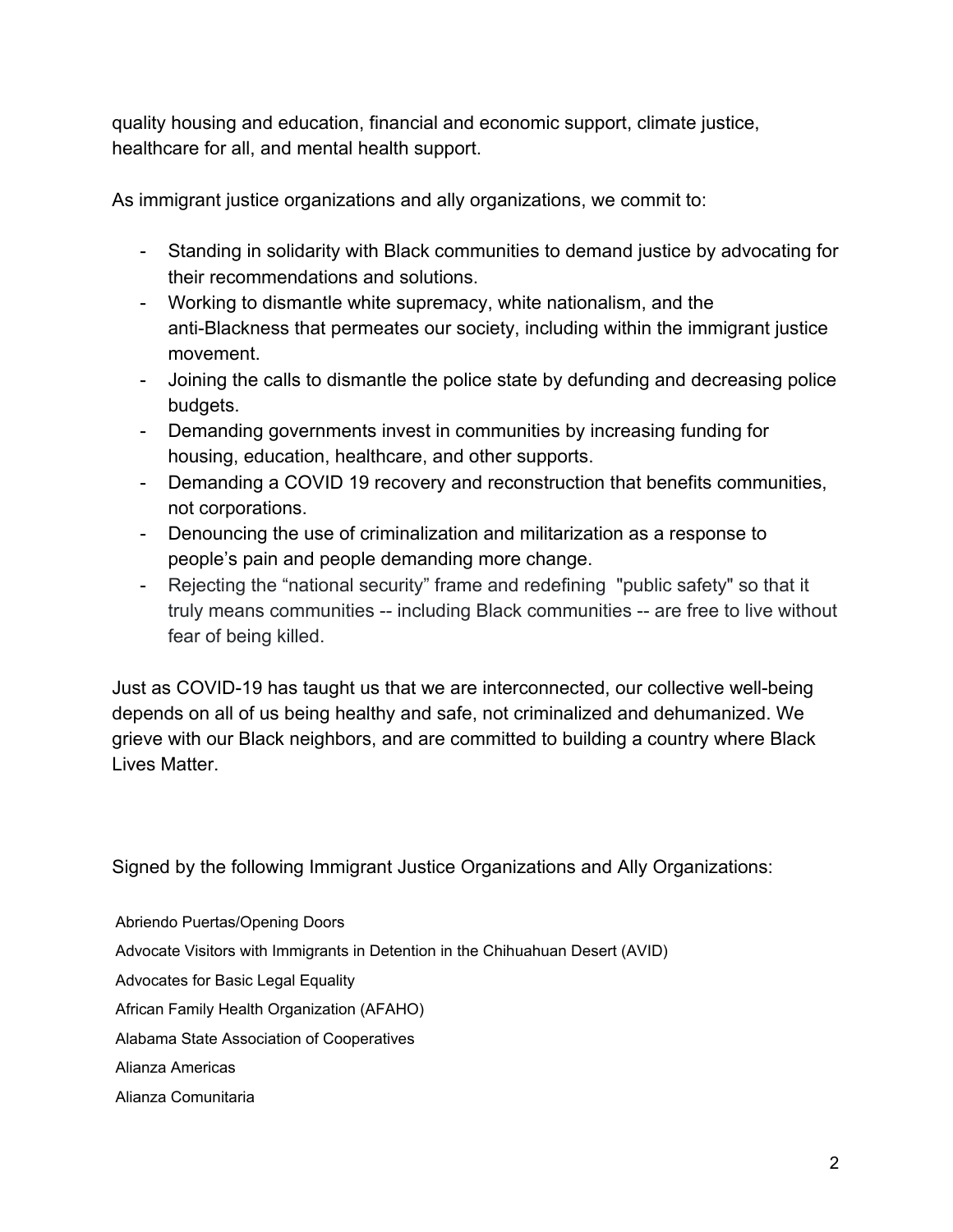quality housing and education, financial and economic support, climate justice, healthcare for all, and mental health support.

As immigrant justice organizations and ally organizations, we commit to:

- Standing in solidarity with Black communities to demand justice by advocating for their recommendations and solutions.
- Working to dismantle white supremacy, white nationalism, and the anti-Blackness that permeates our society, including within the immigrant justice movement.
- Joining the calls to dismantle the police state by defunding and decreasing police budgets.
- Demanding governments invest in communities by increasing funding for housing, education, healthcare, and other supports.
- Demanding a COVID 19 recovery and reconstruction that benefits communities, not corporations.
- Denouncing the use of criminalization and militarization as a response to people's pain and people demanding more change.
- Rejecting the "national security" frame and redefining "public safety" so that it truly means communities -- including Black communities -- are free to live without fear of being killed.

Just as COVID-19 has taught us that we are interconnected, our collective well-being depends on all of us being healthy and safe, not criminalized and dehumanized. We grieve with our Black neighbors, and are committed to building a country where Black Lives Matter.

Signed by the following Immigrant Justice Organizations and Ally Organizations:

Abriendo Puertas/Opening Doors Advocate Visitors with Immigrants in Detention in the Chihuahuan Desert (AVID) Advocates for Basic Legal Equality African Family Health Organization (AFAHO) Alabama State Association of Cooperatives Alianza Americas Alianza Comunitaria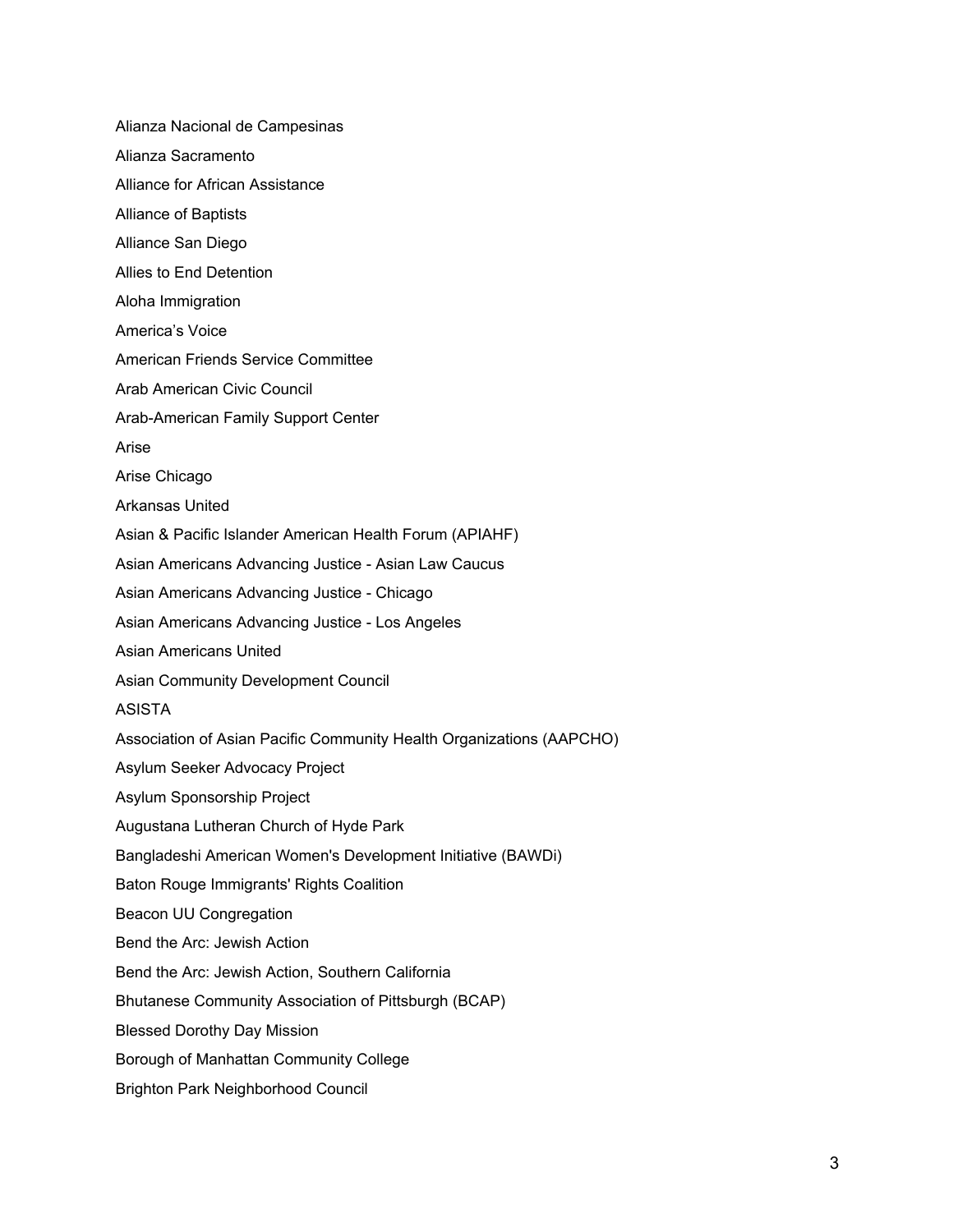Alianza Nacional de Campesinas Alianza Sacramento Alliance for African Assistance Alliance of Baptists Alliance San Diego Allies to End Detention Aloha Immigration America's Voice American Friends Service Committee Arab American Civic Council Arab-American Family Support Center Arise Arise Chicago Arkansas United Asian & Pacific Islander American Health Forum (APIAHF) Asian Americans Advancing Justice - Asian Law Caucus Asian Americans Advancing Justice - Chicago Asian Americans Advancing Justice - Los Angeles Asian Americans United Asian Community Development Council ASISTA Association of Asian Pacific Community Health Organizations (AAPCHO) Asylum Seeker Advocacy Project Asylum Sponsorship Project Augustana Lutheran Church of Hyde Park Bangladeshi American Women's Development Initiative (BAWDi) Baton Rouge Immigrants' Rights Coalition Beacon UU Congregation Bend the Arc: Jewish Action Bend the Arc: Jewish Action, Southern California Bhutanese Community Association of Pittsburgh (BCAP) Blessed Dorothy Day Mission Borough of Manhattan Community College Brighton Park Neighborhood Council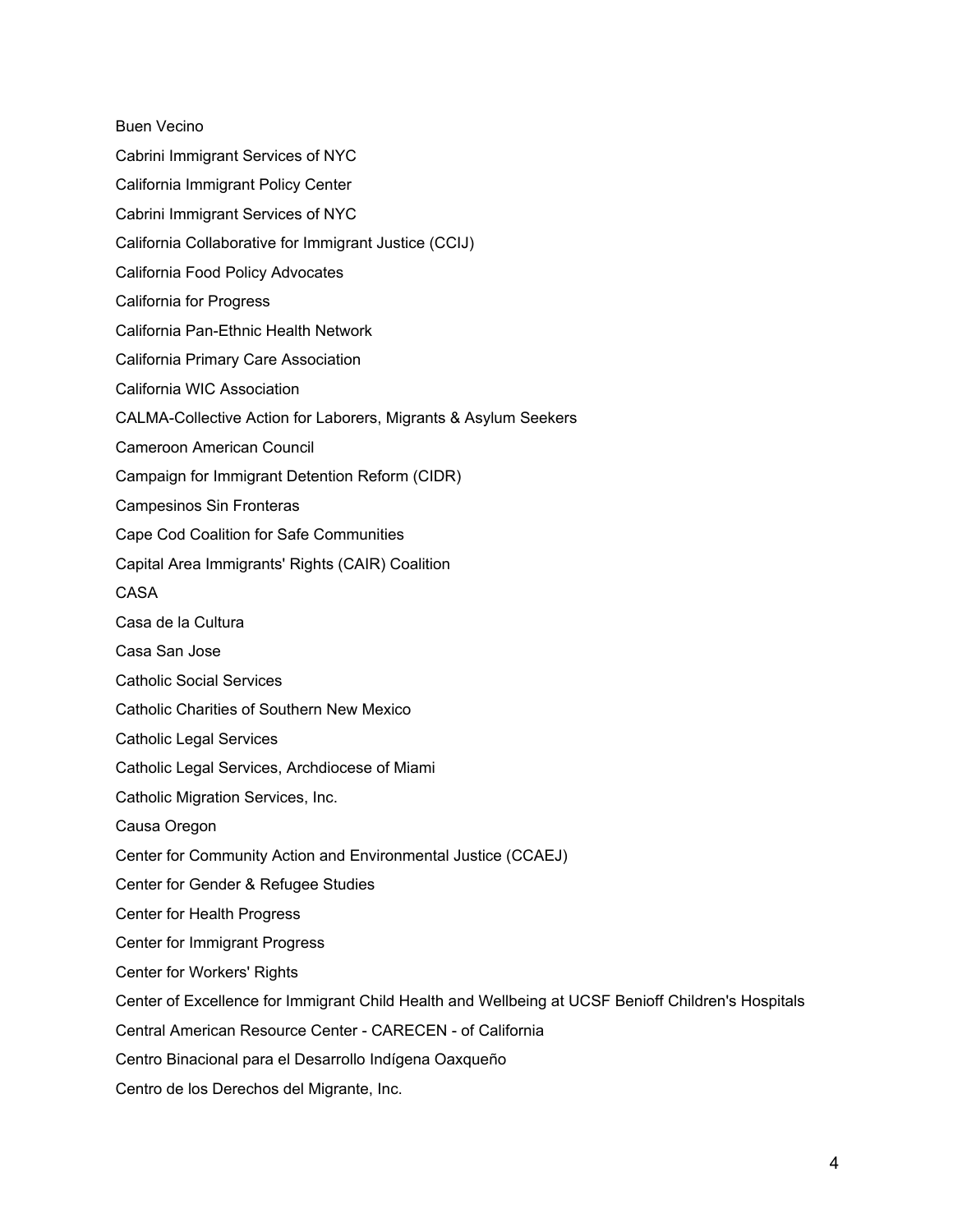Buen Vecino Cabrini Immigrant Services of NYC California Immigrant Policy Center Cabrini Immigrant Services of NYC California Collaborative for Immigrant Justice (CCIJ) California Food Policy Advocates California for Progress California Pan-Ethnic Health Network California Primary Care Association California WIC Association CALMA-Collective Action for Laborers, Migrants & Asylum Seekers Cameroon American Council Campaign for Immigrant Detention Reform (CIDR) Campesinos Sin Fronteras Cape Cod Coalition for Safe Communities Capital Area Immigrants' Rights (CAIR) Coalition **CASA** Casa de la Cultura Casa San Jose Catholic Social Services Catholic Charities of Southern New Mexico Catholic Legal Services Catholic Legal Services, Archdiocese of Miami Catholic Migration Services, Inc. Causa Oregon Center for Community Action and Environmental Justice (CCAEJ) Center for Gender & Refugee Studies Center for Health Progress Center for Immigrant Progress Center for Workers' Rights Center of Excellence for Immigrant Child Health and Wellbeing at UCSF Benioff Children's Hospitals Central American Resource Center - CARECEN - of California Centro Binacional para el Desarrollo Indígena Oaxqueño Centro de los Derechos del Migrante, Inc.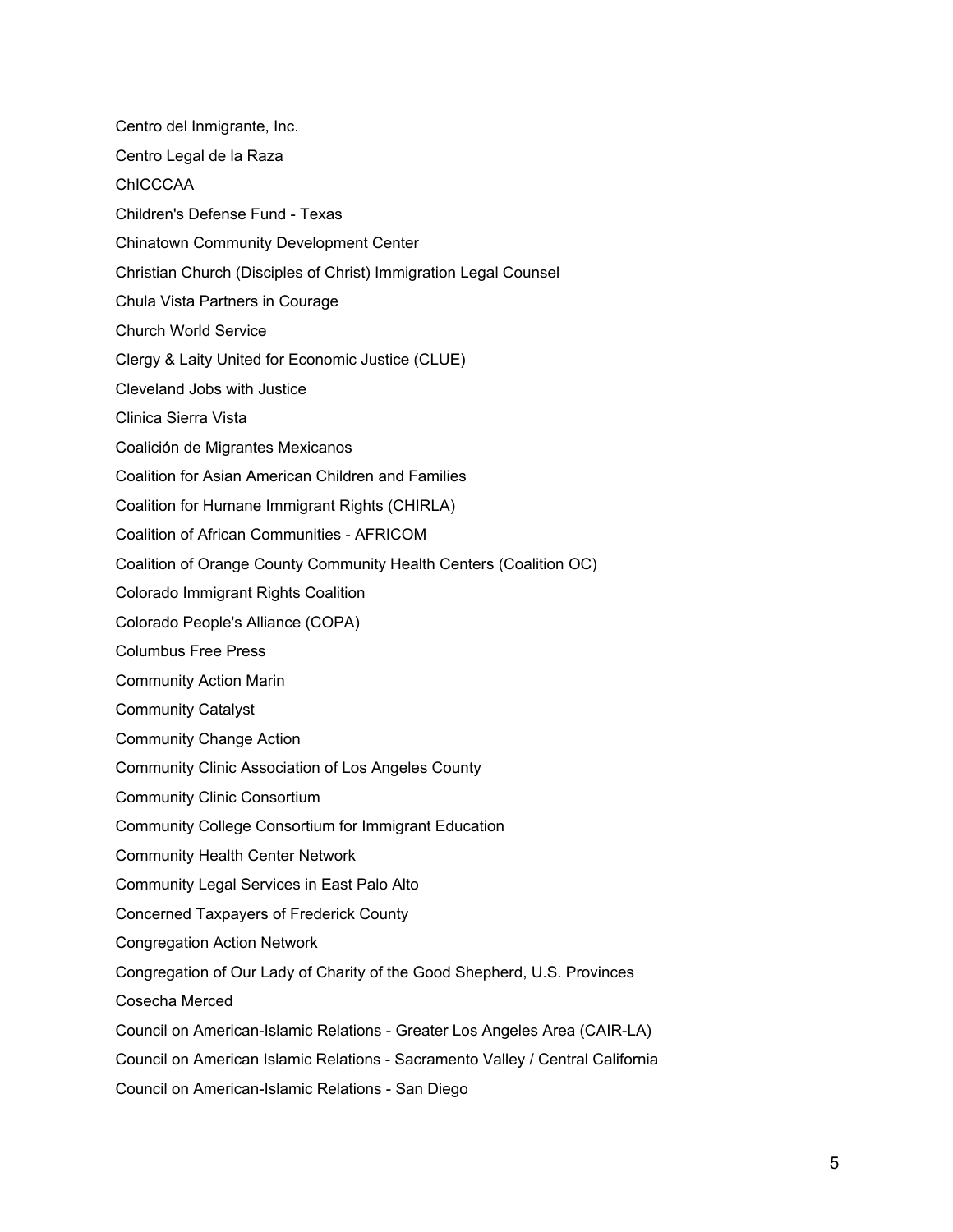Centro del Inmigrante, Inc. Centro Legal de la Raza ChICCCAA Children's Defense Fund - Texas Chinatown Community Development Center Christian Church (Disciples of Christ) Immigration Legal Counsel Chula Vista Partners in Courage Church World Service Clergy & Laity United for Economic Justice (CLUE) Cleveland Jobs with Justice Clinica Sierra Vista Coalición de Migrantes Mexicanos Coalition for Asian American Children and Families Coalition for Humane Immigrant Rights (CHIRLA) Coalition of African Communities - AFRICOM Coalition of Orange County Community Health Centers (Coalition OC) Colorado Immigrant Rights Coalition Colorado People's Alliance (COPA) Columbus Free Press Community Action Marin Community Catalyst Community Change Action Community Clinic Association of Los Angeles County Community Clinic Consortium Community College Consortium for Immigrant Education Community Health Center Network Community Legal Services in East Palo Alto Concerned Taxpayers of Frederick County Congregation Action Network Congregation of Our Lady of Charity of the Good Shepherd, U.S. Provinces Cosecha Merced Council on American-Islamic Relations - Greater Los Angeles Area (CAIR-LA) Council on American Islamic Relations - Sacramento Valley / Central California Council on American-Islamic Relations - San Diego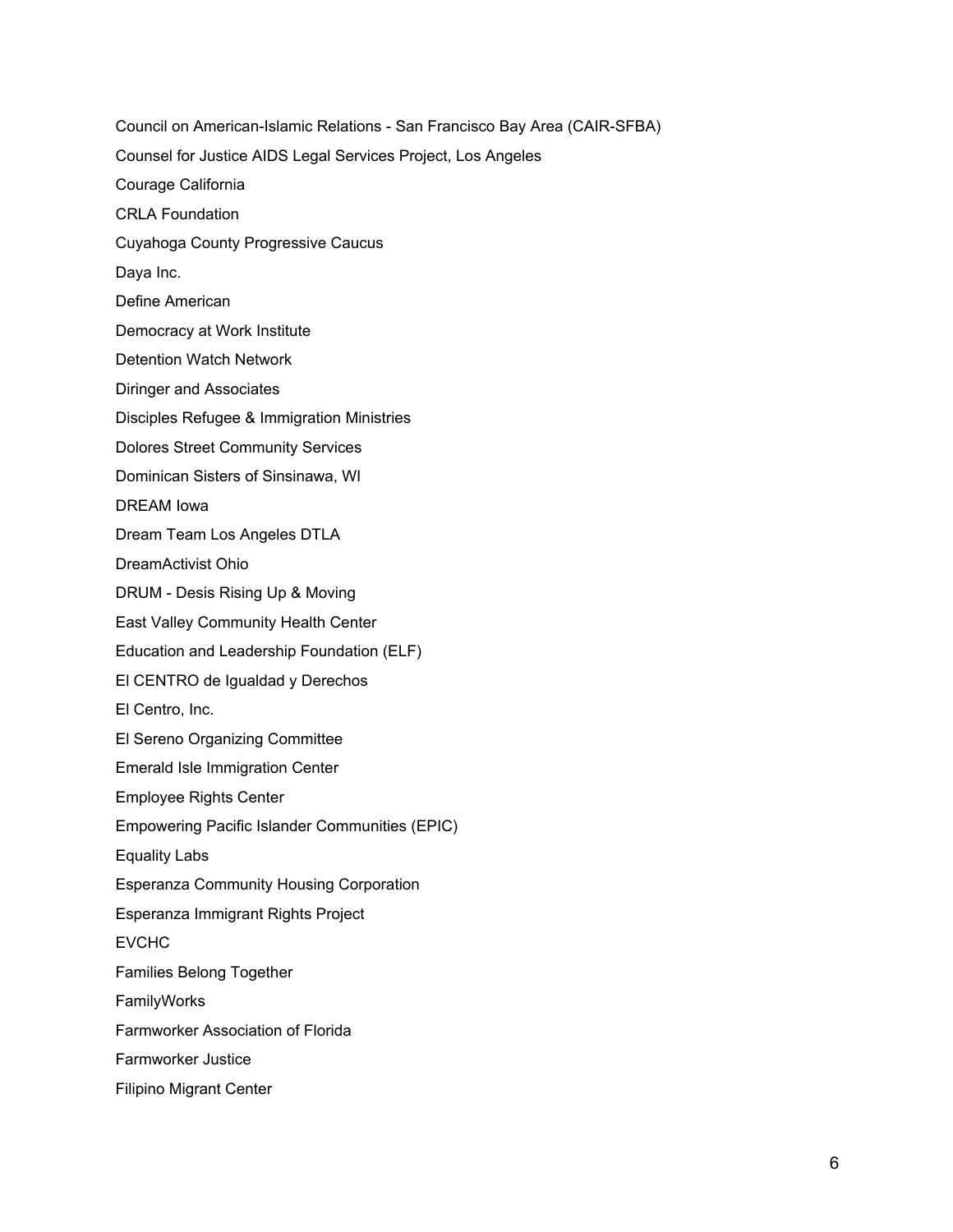Council on American-Islamic Relations - San Francisco Bay Area (CAIR-SFBA) Counsel for Justice AIDS Legal Services Project, Los Angeles Courage California CRLA Foundation Cuyahoga County Progressive Caucus Daya Inc. Define American Democracy at Work Institute Detention Watch Network Diringer and Associates Disciples Refugee & Immigration Ministries Dolores Street Community Services Dominican Sisters of Sinsinawa, WI DREAM Iowa Dream Team Los Angeles DTLA DreamActivist Ohio DRUM - Desis Rising Up & Moving East Valley Community Health Center Education and Leadership Foundation (ELF) El CENTRO de Igualdad y Derechos El Centro, Inc. El Sereno Organizing Committee Emerald Isle Immigration Center Employee Rights Center Empowering Pacific Islander Communities (EPIC) Equality Labs Esperanza Community Housing Corporation Esperanza Immigrant Rights Project EVCHC Families Belong Together FamilyWorks Farmworker Association of Florida Farmworker Justice Filipino Migrant Center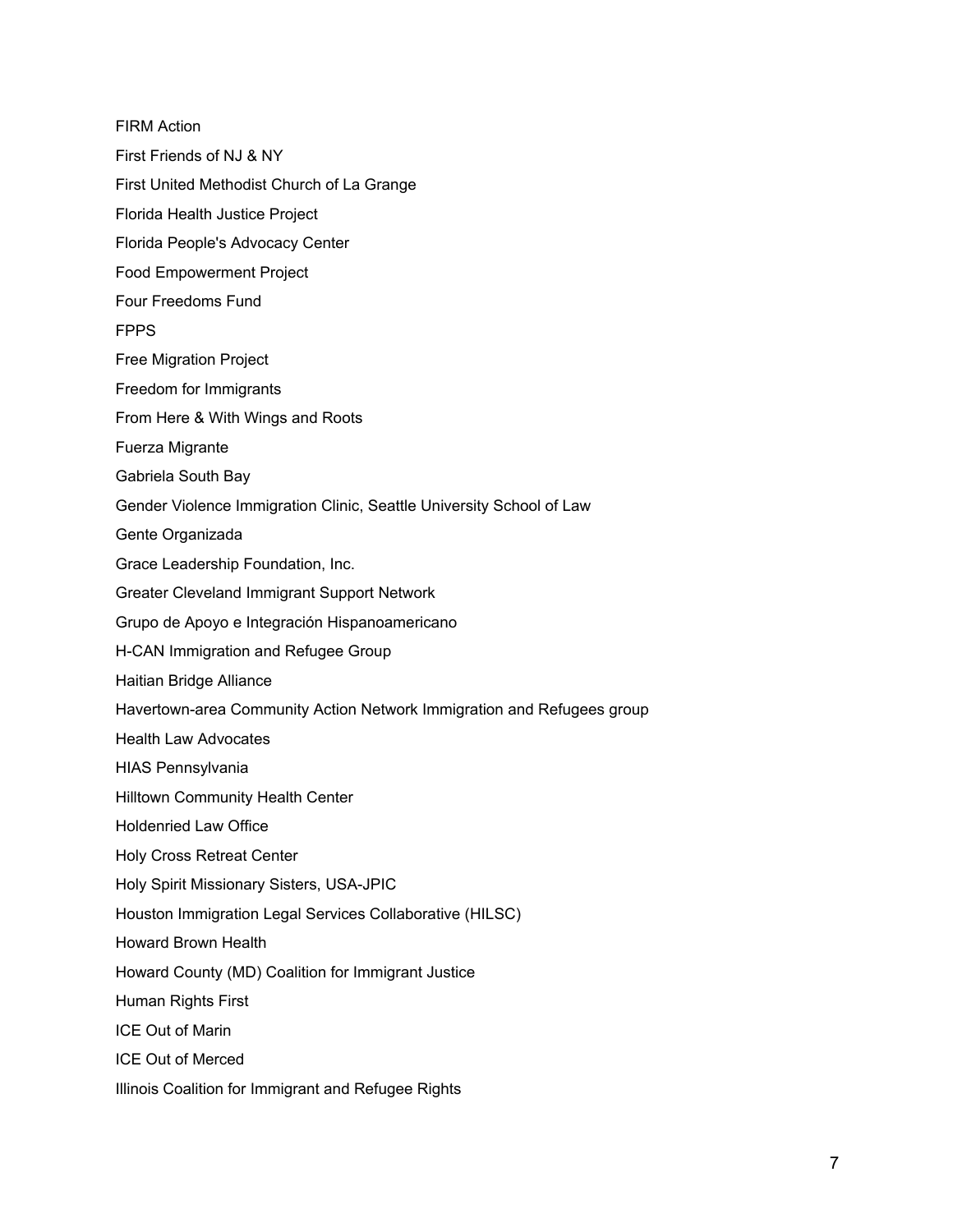FIRM Action First Friends of NJ & NY First United Methodist Church of La Grange Florida Health Justice Project Florida People's Advocacy Center Food Empowerment Project Four Freedoms Fund FPPS Free Migration Project Freedom for Immigrants From Here & With Wings and Roots Fuerza Migrante Gabriela South Bay Gender Violence Immigration Clinic, Seattle University School of Law Gente Organizada Grace Leadership Foundation, Inc. Greater Cleveland Immigrant Support Network Grupo de Apoyo e Integración Hispanoamericano H-CAN Immigration and Refugee Group Haitian Bridge Alliance Havertown-area Community Action Network Immigration and Refugees group Health Law Advocates HIAS Pennsylvania Hilltown Community Health Center Holdenried Law Office Holy Cross Retreat Center Holy Spirit Missionary Sisters, USA-JPIC Houston Immigration Legal Services Collaborative (HILSC) Howard Brown Health Howard County (MD) Coalition for Immigrant Justice Human Rights First ICE Out of Marin ICE Out of Merced Illinois Coalition for Immigrant and Refugee Rights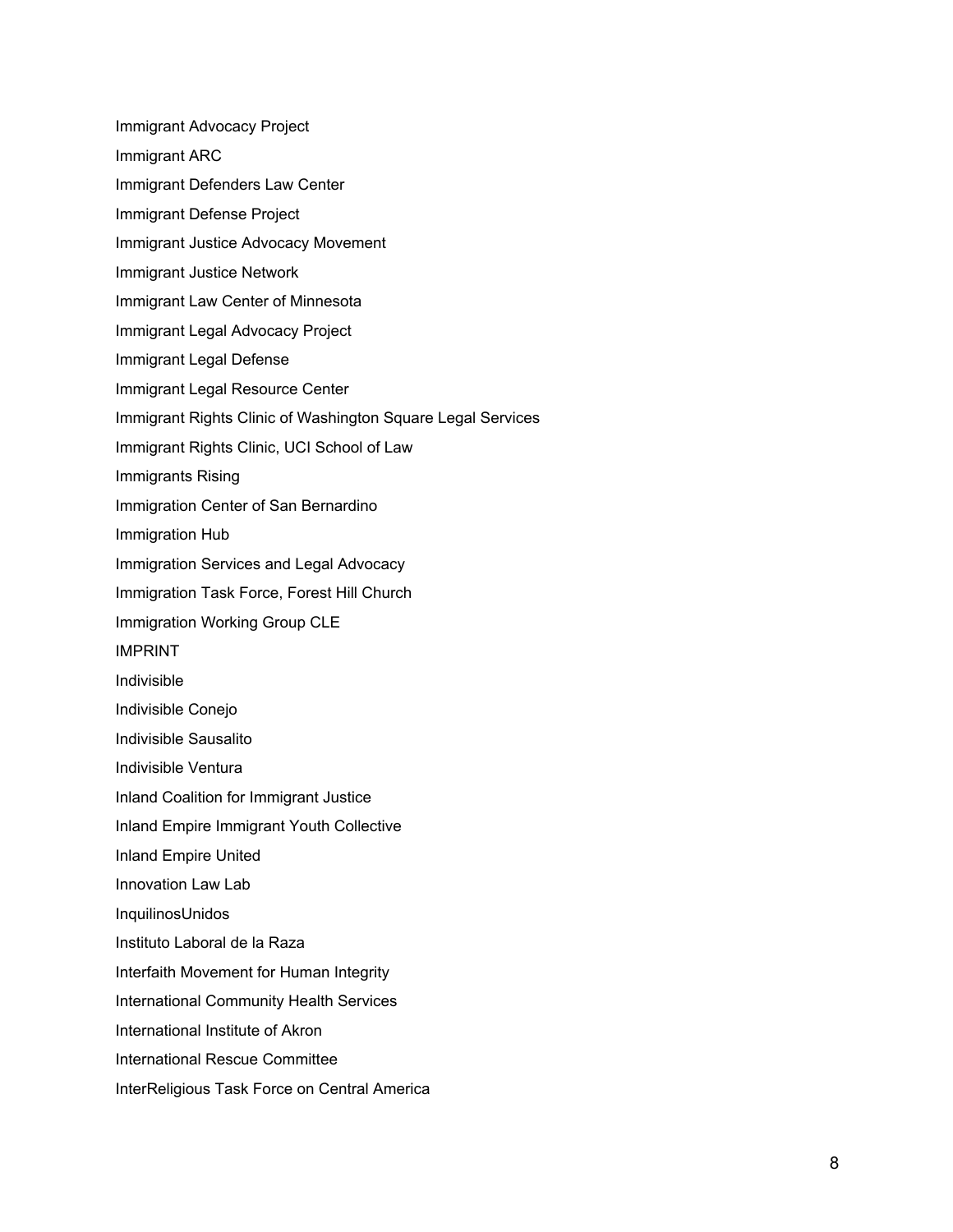Immigrant Advocacy Project Immigrant ARC Immigrant Defenders Law Center Immigrant Defense Project Immigrant Justice Advocacy Movement Immigrant Justice Network Immigrant Law Center of Minnesota Immigrant Legal Advocacy Project Immigrant Legal Defense Immigrant Legal Resource Center Immigrant Rights Clinic of Washington Square Legal Services Immigrant Rights Clinic, UCI School of Law Immigrants Rising Immigration Center of San Bernardino Immigration Hub Immigration Services and Legal Advocacy Immigration Task Force, Forest Hill Church Immigration Working Group CLE IMPRINT Indivisible Indivisible Conejo Indivisible Sausalito Indivisible Ventura Inland Coalition for Immigrant Justice Inland Empire Immigrant Youth Collective Inland Empire United Innovation Law Lab InquilinosUnidos Instituto Laboral de la Raza Interfaith Movement for Human Integrity International Community Health Services International Institute of Akron International Rescue Committee InterReligious Task Force on Central America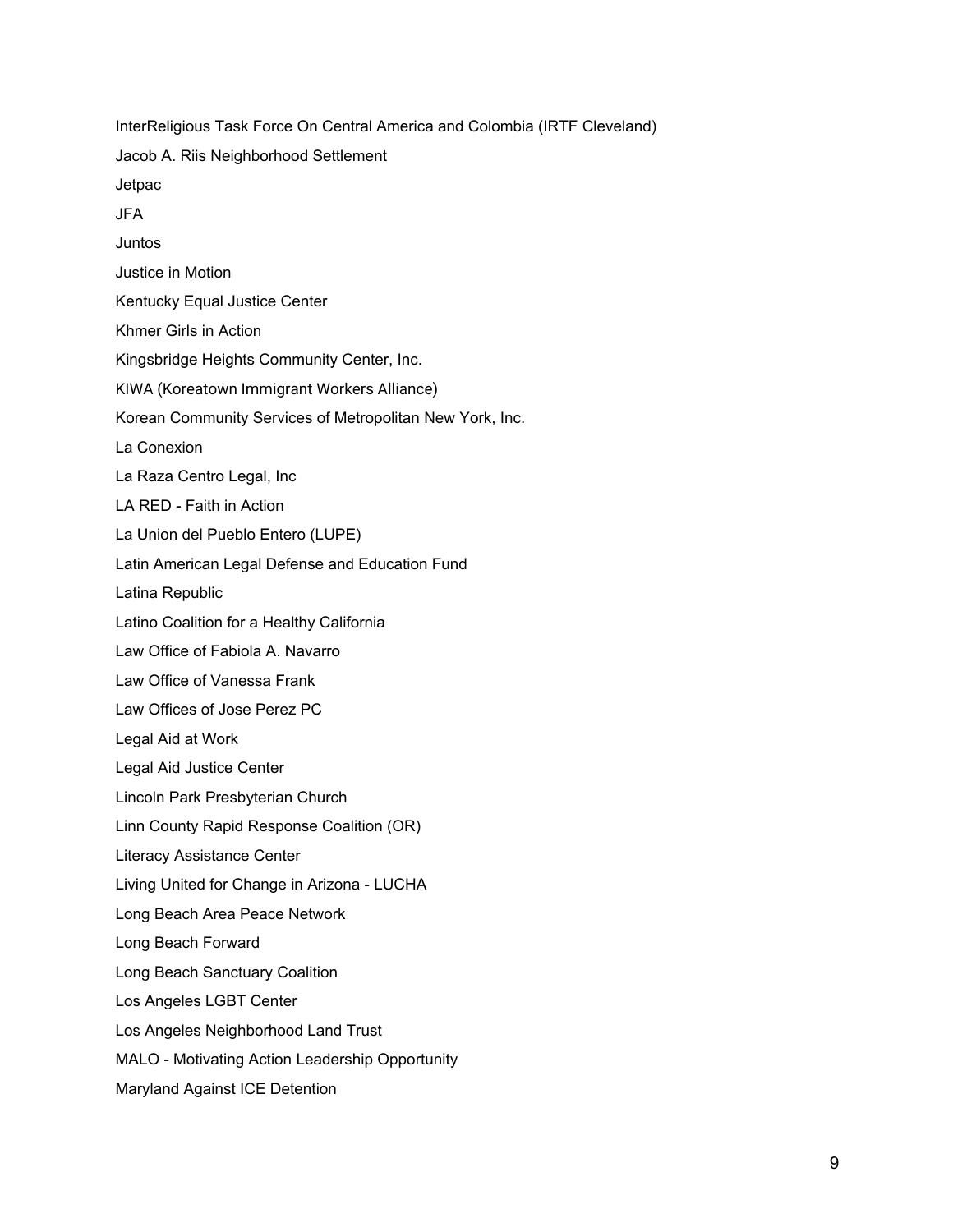InterReligious Task Force On Central America and Colombia (IRTF Cleveland) Jacob A. Riis Neighborhood Settlement Jetpac **JFA** Juntos Justice in Motion Kentucky Equal Justice Center Khmer Girls in Action Kingsbridge Heights Community Center, Inc. KIWA (Koreatown Immigrant Workers Alliance) Korean Community Services of Metropolitan New York, Inc. La Conexion La Raza Centro Legal, Inc LA RED - Faith in Action La Union del Pueblo Entero (LUPE) Latin American Legal Defense and Education Fund Latina Republic Latino Coalition for a Healthy California Law Office of Fabiola A. Navarro Law Office of Vanessa Frank Law Offices of Jose Perez PC Legal Aid at Work Legal Aid Justice Center Lincoln Park Presbyterian Church Linn County Rapid Response Coalition (OR) Literacy Assistance Center Living United for Change in Arizona - LUCHA Long Beach Area Peace Network Long Beach Forward Long Beach Sanctuary Coalition Los Angeles LGBT Center Los Angeles Neighborhood Land Trust MALO - Motivating Action Leadership Opportunity Maryland Against ICE Detention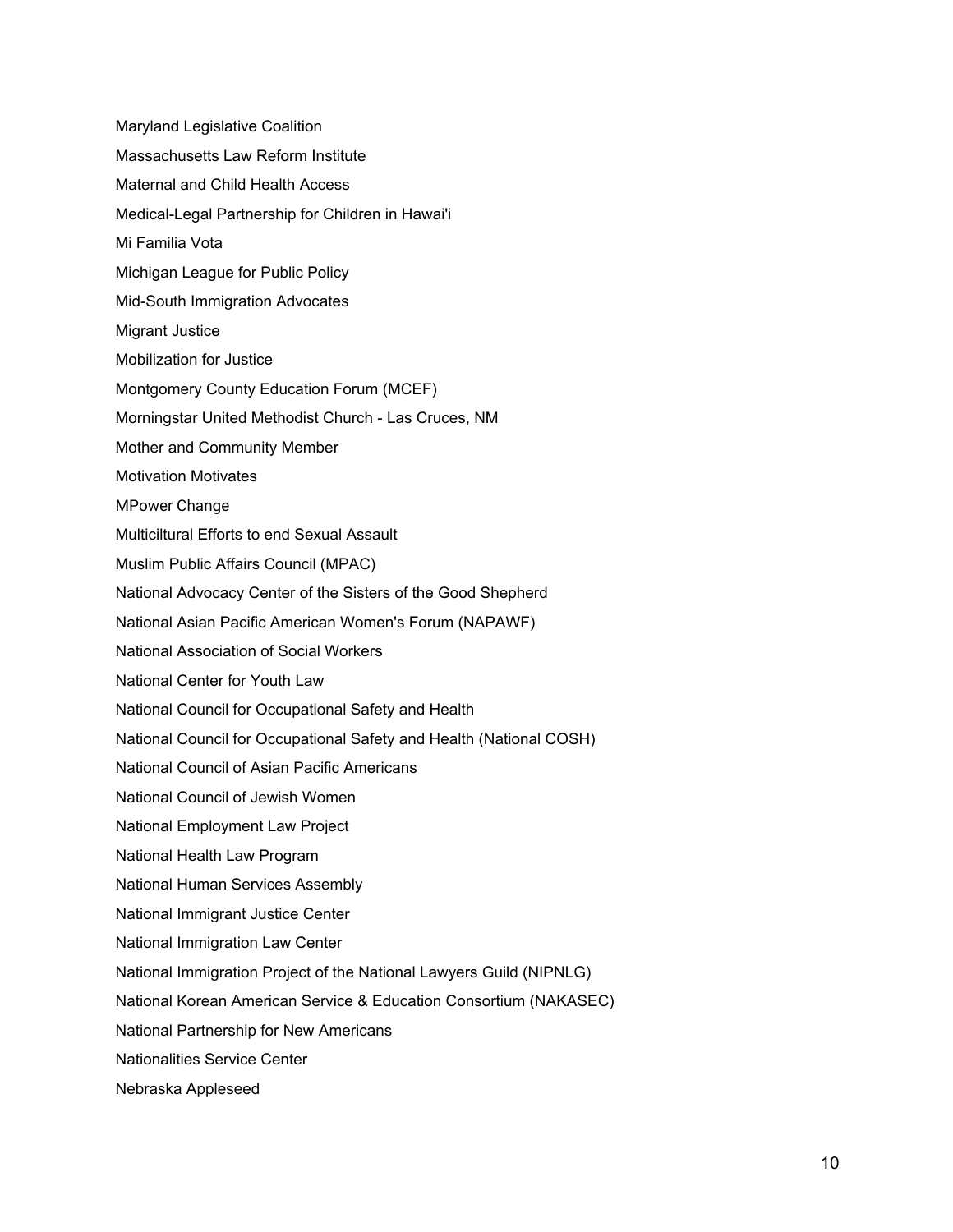Maryland Legislative Coalition Massachusetts Law Reform Institute Maternal and Child Health Access Medical-Legal Partnership for Children in Hawai'i Mi Familia Vota Michigan League for Public Policy Mid-South Immigration Advocates Migrant Justice Mobilization for Justice Montgomery County Education Forum (MCEF) Morningstar United Methodist Church - Las Cruces, NM Mother and Community Member Motivation Motivates MPower Change Multiciltural Efforts to end Sexual Assault Muslim Public Affairs Council (MPAC) National Advocacy Center of the Sisters of the Good Shepherd National Asian Pacific American Women's Forum (NAPAWF) National Association of Social Workers National Center for Youth Law National Council for Occupational Safety and Health National Council for Occupational Safety and Health (National COSH) National Council of Asian Pacific Americans National Council of Jewish Women National Employment Law Project National Health Law Program National Human Services Assembly National Immigrant Justice Center National Immigration Law Center National Immigration Project of the National Lawyers Guild (NIPNLG) National Korean American Service & Education Consortium (NAKASEC) National Partnership for New Americans Nationalities Service Center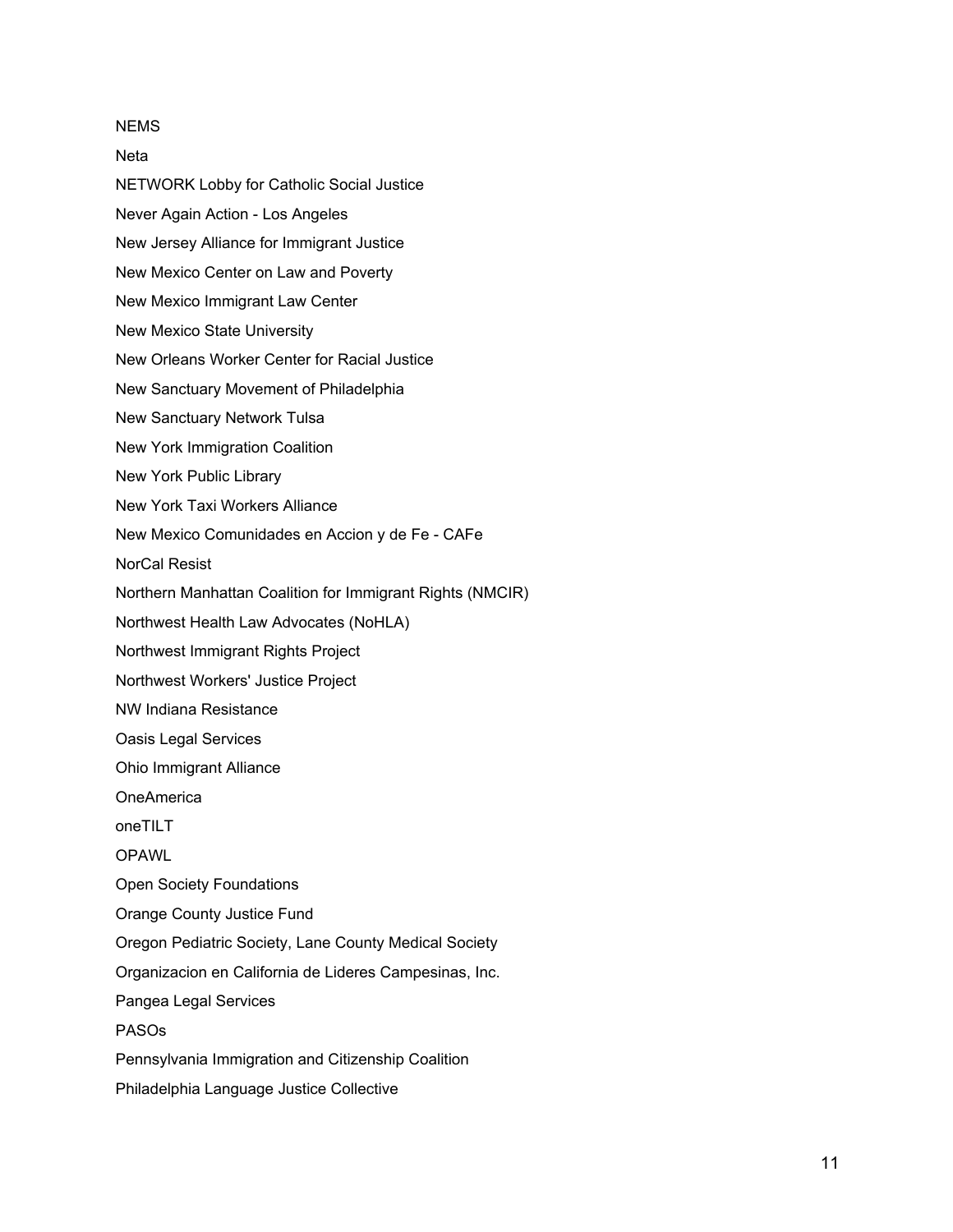## **NEMS**

## Neta

NETWORK Lobby for Catholic Social Justice Never Again Action - Los Angeles New Jersey Alliance for Immigrant Justice New Mexico Center on Law and Poverty New Mexico Immigrant Law Center New Mexico State University New Orleans Worker Center for Racial Justice New Sanctuary Movement of Philadelphia New Sanctuary Network Tulsa New York Immigration Coalition New York Public Library New York Taxi Workers Alliance New Mexico Comunidades en Accion y de Fe - CAFe NorCal Resist Northern Manhattan Coalition for Immigrant Rights (NMCIR) Northwest Health Law Advocates (NoHLA) Northwest Immigrant Rights Project Northwest Workers' Justice Project NW Indiana Resistance Oasis Legal Services Ohio Immigrant Alliance **OneAmerica** oneTILT **OPAWL** Open Society Foundations Orange County Justice Fund Oregon Pediatric Society, Lane County Medical Society Organizacion en California de Lideres Campesinas, Inc. Pangea Legal Services PASOs Pennsylvania Immigration and Citizenship Coalition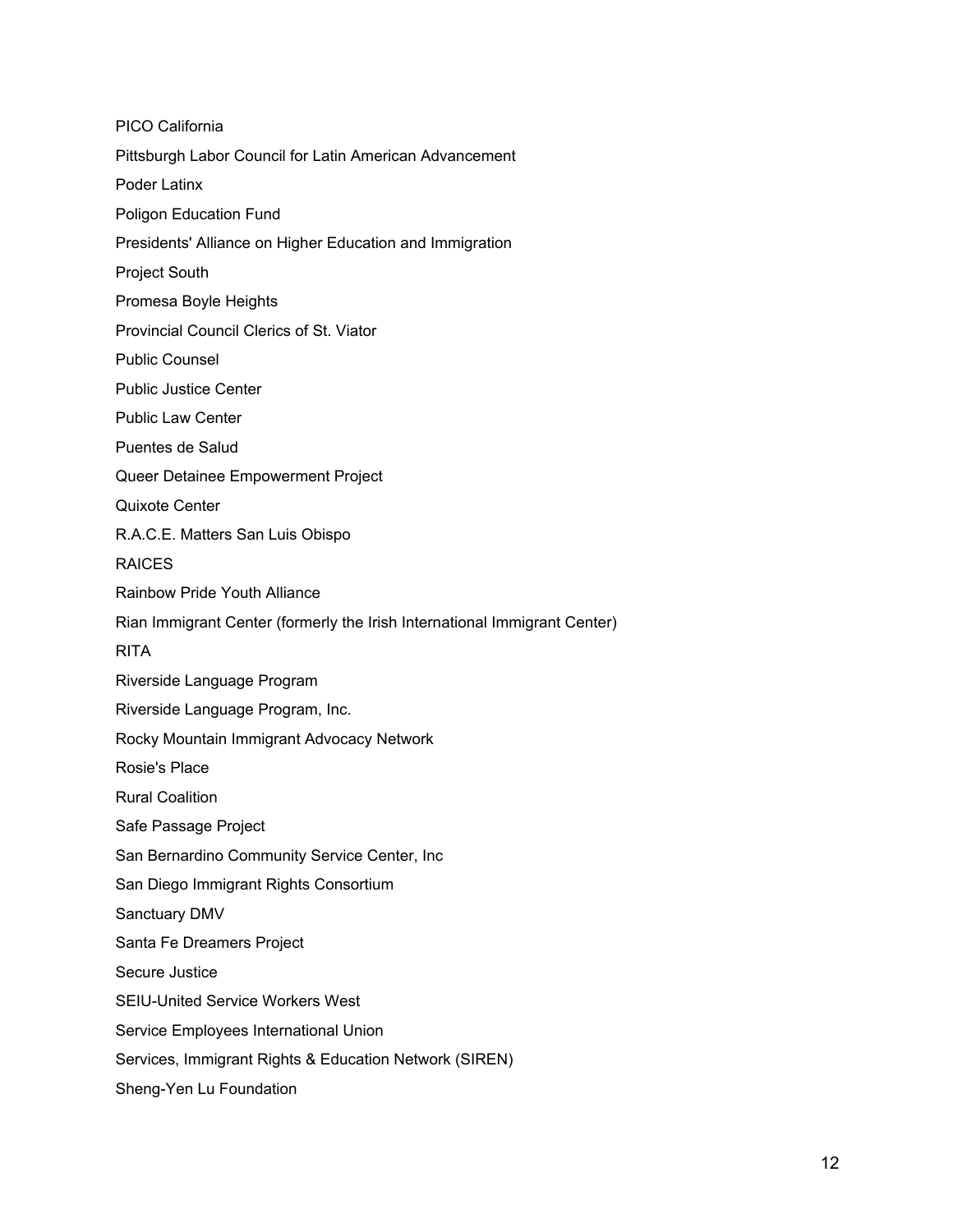PICO California Pittsburgh Labor Council for Latin American Advancement Poder Latinx Poligon Education Fund Presidents' Alliance on Higher Education and Immigration Project South Promesa Boyle Heights Provincial Council Clerics of St. Viator Public Counsel Public Justice Center Public Law Center Puentes de Salud Queer Detainee Empowerment Project Quixote Center R.A.C.E. Matters San Luis Obispo RAICES Rainbow Pride Youth Alliance Rian Immigrant Center (formerly the Irish International Immigrant Center) RITA Riverside Language Program Riverside Language Program, Inc. Rocky Mountain Immigrant Advocacy Network Rosie's Place Rural Coalition Safe Passage Project San Bernardino Community Service Center, Inc San Diego Immigrant Rights Consortium Sanctuary DMV Santa Fe Dreamers Project Secure Justice SEIU-United Service Workers West Service Employees International Union Services, Immigrant Rights & Education Network (SIREN) Sheng-Yen Lu Foundation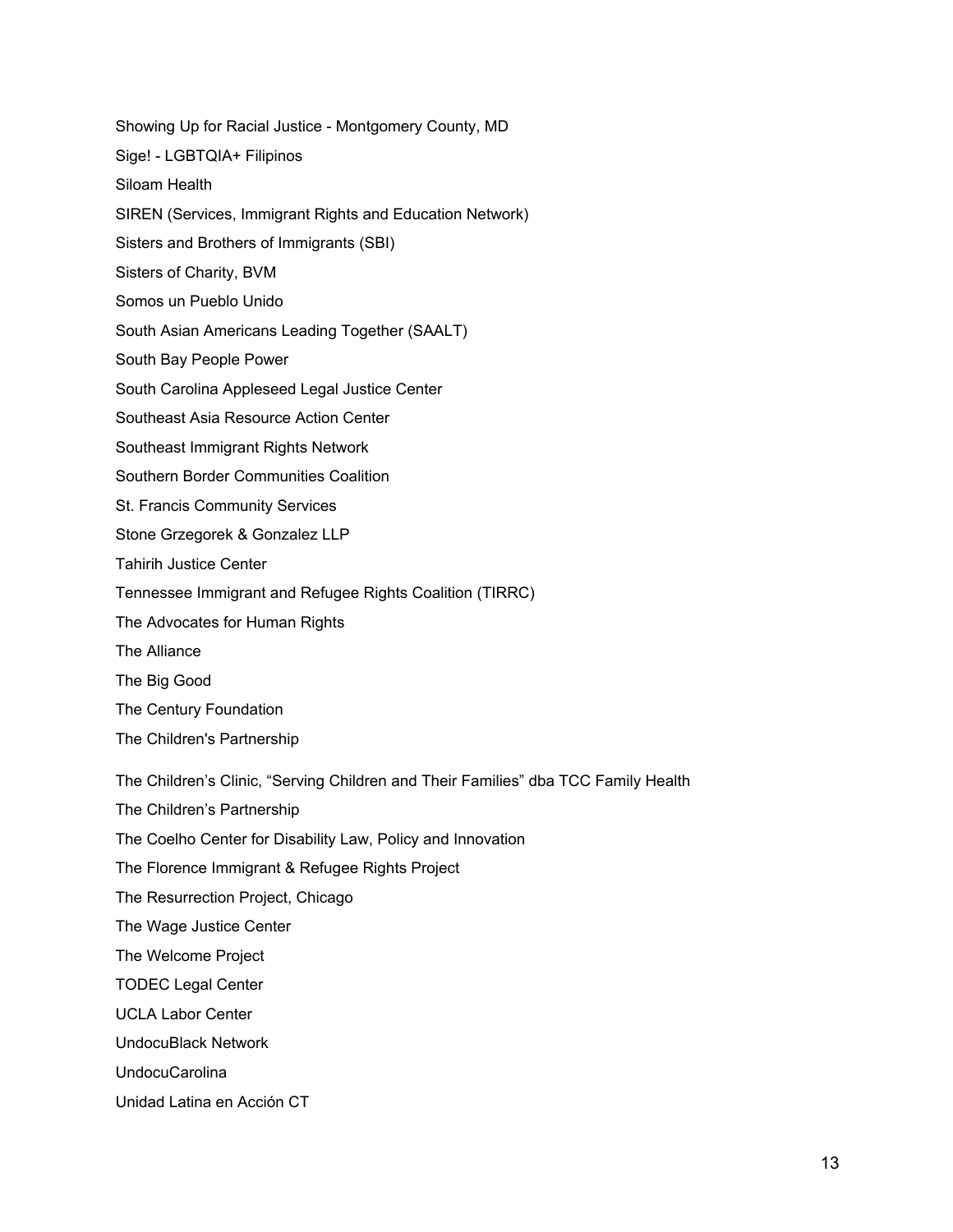- Showing Up for Racial Justice Montgomery County, MD
- Sige! LGBTQIA+ Filipinos
- Siloam Health
- SIREN (Services, Immigrant Rights and Education Network)
- Sisters and Brothers of Immigrants (SBI)
- Sisters of Charity, BVM
- Somos un Pueblo Unido
- South Asian Americans Leading Together (SAALT)
- South Bay People Power
- South Carolina Appleseed Legal Justice Center
- Southeast Asia Resource Action Center
- Southeast Immigrant Rights Network
- Southern Border Communities Coalition
- St. Francis Community Services
- Stone Grzegorek & Gonzalez LLP
- Tahirih Justice Center
- Tennessee Immigrant and Refugee Rights Coalition (TIRRC)
- The Advocates for Human Rights
- The Alliance
- The Big Good
- The Century Foundation
- The Children's Partnership
- The Children's Clinic, "Serving Children and Their Families" dba TCC Family Health
- The Children's Partnership
- The Coelho Center for Disability Law, Policy and Innovation
- The Florence Immigrant & Refugee Rights Project
- The Resurrection Project, Chicago
- The Wage Justice Center
- The Welcome Project
- TODEC Legal Center
- UCLA Labor Center
- UndocuBlack Network
- UndocuCarolina
- Unidad Latina en Acción CT